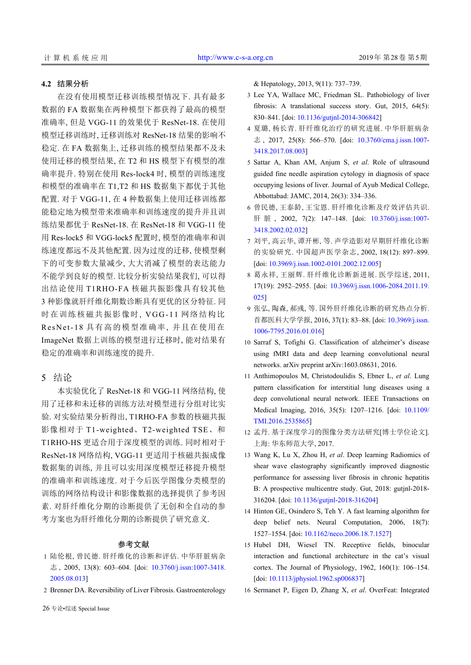## **4.2** 结果分析

在没有使用模型迁移训练模型情况下. 具有最多 数据的 FA 数据集在两种模型下都获得了最高的模型 准确率, 但是 VGG-11 的效果优于 ResNet-18. 在使用 模型迁移训练时, 迁移训练对 ResNet-18 结果的影响不 稳定. 在 FA 数据集上, 迁移训练的模型结果都不及未 使用迁移的模型结果, 在 T2 和 HS 模型下有模型的准 确率提升. 特别在使用 Res-lock4 时, 模型的训练速度 和模型的准确率在 T1,T2 和 HS 数据集下都优于其他 配置. 对于 VGG-11, 在 4 种数据集上使用迁移训练都 能稳定地为模型带来准确率和训练速度的提升并且训 练结果都优于 ResNet-18. 在 ResNet-18 和 VGG-11 使 用 Res-lock5 和 VGG-lock5 配置时, 模型的准确率和训 练速度都远不及其他配置. 因为过度的迁移, 使模型剩 下的可变参数大量减少, 大大消减了模型的表达能力 不能学到良好的模型. 比较分析实验结果我们, 可以得 出结论使用 T1RHO-FA 核磁共振影像具有较其他 3 种影像就肝纤维化期数诊断具有更优的区分特征. 同 时在训练核磁共振影像时, VGG-11 网络结构比 ResNet-1 8 具有高的模型准确率, 并且在使用在 ImageNet 数据上训练的模型进行迁移时, 能对结果有 稳定的准确率和训练速度的提升.

## 5 结论

本实验优化了 ResNet-18 和 VGG-11 网络结构, 使 用了迁移和未迁移的训练方法对模型进行分组对比实 验. 对实验结果分析得出, T1RHO-FA 参数的核磁共振 影像相对于 T1-weighted、T2-weighted TSE、和 T1RHO-HS 更适合用于深度模型的训练. 同时相对于 ResNet-18 网络结构, VGG-11 更适用于核磁共振成像 数据集的训练, 并且可以实用深度模型迁移提升模型 的准确率和训练速度. 对于今后医学图像分类模型的 训练的网络结构设计和影像数据的选择提供了参考因 素. 对肝纤维化分期的诊断提供了无创和全自动的参 考方案也为肝纤维化分期的诊断提供了研究意义.

## 参考文献

- 1 陆伦根, 曾民德. 肝纤维化的诊断和评估. [中华肝脏病杂](http://dx.doi.org/10.3760/j.issn:1007-3418.2005.08.013) 志 ,  $2005$ ,  $13(8)$ :  $603-604$ . [doi:  $10.3760/i$ .issn:1007-3418. [2005.08.013](http://dx.doi.org/10.3760/j.issn:1007-3418.2005.08.013)]
- 2 Brenner DA. Reversibility of Liver Fibrosis. Gastroenterology

26 专论•综述 Special Issue

& Hepatology, 2013, 9(11): 737–739.

- 3 Lee YA, Wallace MC, Friedman SL. Pathobiology of liver fibrosis: A translational success story. Gut, 2015, 64(5): 830–841. [doi: [10.1136/gutjnl-2014-306842\]](http://dx.doi.org/10.1136/gutjnl-2014-306842)
- 夏璐, 杨长青. 肝纤维化治疗的研究进展. 中华肝脏病杂 4 志, 2017, 25(8): 566–570. [doi: [10.3760/cma.j.issn.1007-](http://dx.doi.org/10.3760/cma.j.issn.1007-3418.2017.08.003) [3418.2017.08.003\]](http://dx.doi.org/10.3760/cma.j.issn.1007-3418.2017.08.003)
- 5 Sattar A, Khan AM, Anjum S, et al. Role of ultrasound guided fine needle aspiration cytology in diagnosis of space occupying lesions of liver. Journal of Ayub Medical College, Abbottabad: JAMC, 2014, 26(3): 334–336.
- 曾民德, 王泰龄, 王宝恩. 肝纤维化诊断及疗效评估共识. 6 肝 脏 , 2002, 7(2): 147–148. [doi: [10.3760/j.issn:1007-](http://dx.doi.org/10.3760/j.issn:1007-3418.2002.02.032) [3418.2002.02.032\]](http://dx.doi.org/10.3760/j.issn:1007-3418.2002.02.032)
- 刘平, 高云华, 谭开彬, 等. 声学造影对早期肝纤维化诊断 7 的实验研究. 中国超声医学杂志, 2002, 18(12): 897–899. [doi: [10.3969/j.issn.1002-0101.2002.12.005\]](http://dx.doi.org/10.3969/j.issn.1002-0101.2002.12.005)
- 葛永祥, 王丽辉. 肝纤维化诊断新进展. 医学综述, 2011, 8 17(19): 2952–2955. [doi: [10.3969/j.issn.1006-2084.2011.19.](http://dx.doi.org/10.3969/j.issn.1006-2084.2011.19.025) [025](http://dx.doi.org/10.3969/j.issn.1006-2084.2011.19.025)]
- 9 张弘, 陶森, 郝彧, 等. 国外肝纤维化诊断的研究热点分析. 首都医科大学学报, 2016, 37(1): 83–88. [doi: [10.3969/j.issn.](http://dx.doi.org/10.3969/j.issn.1006-7795.2016.01.016) [1006-7795.2016.01.016\]](http://dx.doi.org/10.3969/j.issn.1006-7795.2016.01.016)
- 10 Sarraf S, Tofighi G. Classification of alzheimer's disease using fMRI data and deep learning convolutional neural networks. arXiv preprint arXiv:1603.08631, 2016.
- 11 Anthimopoulos M, Christodoulidis S, Ebner L, et al. Lung pattern classification for interstitial lung diseases using a deep convolutional neural network. IEEE Transactions on Medical Imaging, 2016, 35(5): 1207–1216. [doi: [10.1109/](http://dx.doi.org/10.1109/TMI.2016.2535865) [TMI.2016.2535865](http://dx.doi.org/10.1109/TMI.2016.2535865)]
- 孟丹. 基于深度学习的图像分类方法研究[博士学位论文]. 12 上海: 华东师范大学, 2017.
- Wang K, Lu X, Zhou H, *et al*. Deep learning Radiomics of 13 shear wave elastography significantly improved diagnostic performance for assessing liver fibrosis in chronic hepatitis B: A prospec[tive multicentre study. Gut, 2](http://dx.doi.org/10.1136/gutjnl-2018-316204)018: gutjnl-2018- 316204. [doi: [10.1136/gutjnl-2018-316204](http://dx.doi.org/10.1136/gutjnl-2018-316204)]
- 14 Hinton GE, Osindero S, Teh Y. A fast learning algorithm for deep belief ne[ts. Neural Computation,](http://dx.doi.org/10.1162/neco.2006.18.7.1527) 2006, 18(7): 1527–1554. [doi: [10.1162/neco.2006.18.7.1527](http://dx.doi.org/10.1162/neco.2006.18.7.1527)]
- 15 Hubel DH, Wiesel TN. Receptive fields, binocular interaction and functional architecture in the cat's visual cortex. The Journal of Physiology,  $1962$ ,  $160(1)$ :  $106-154$ . [doi: [10.1113/jphysiol.1962.sp006837](http://dx.doi.org/10.1113/jphysiol.1962.sp006837)]
- 16 Sermanet P, Eigen D, Zhang X, *et al*. OverFeat: Integrated